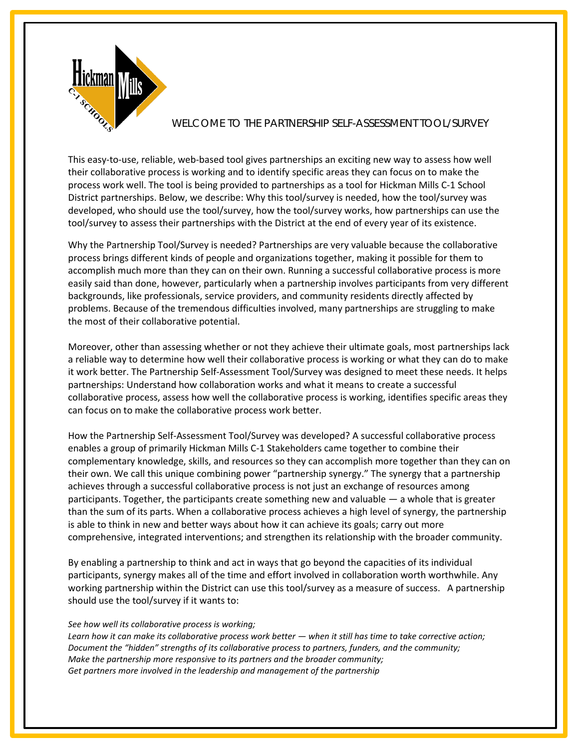

## WELCOME TO THE PARTNERSHIP SELF-ASSESSMENT TOOL/SURVEY

This easy-to-use, reliable, web-based tool gives partnerships an exciting new way to assess how well their collaborative process is working and to identify specific areas they can focus on to make the process work well. The tool is being provided to partnerships as a tool for Hickman Mills C-1 School District partnerships. Below, we describe: Why this tool/survey is needed, how the tool/survey was developed, who should use the tool/survey, how the tool/survey works, how partnerships can use the tool/survey to assess their partnerships with the District at the end of every year of its existence.

Why the Partnership Tool/Survey is needed? Partnerships are very valuable because the collaborative process brings different kinds of people and organizations together, making it possible for them to accomplish much more than they can on their own. Running a successful collaborative process is more easily said than done, however, particularly when a partnership involves participants from very different backgrounds, like professionals, service providers, and community residents directly affected by problems. Because of the tremendous difficulties involved, many partnerships are struggling to make the most of their collaborative potential.

Moreover, other than assessing whether or not they achieve their ultimate goals, most partnerships lack a reliable way to determine how well their collaborative process is working or what they can do to make it work better. The Partnership Self-Assessment Tool/Survey was designed to meet these needs. It helps partnerships: Understand how collaboration works and what it means to create a successful collaborative process, assess how well the collaborative process is working, identifies specific areas they can focus on to make the collaborative process work better.

How the Partnership Self-Assessment Tool/Survey was developed? A successful collaborative process enables a group of primarily Hickman Mills C-1 Stakeholders came together to combine their complementary knowledge, skills, and resources so they can accomplish more together than they can on their own. We call this unique combining power "partnership synergy." The synergy that a partnership achieves through a successful collaborative process is not just an exchange of resources among participants. Together, the participants create something new and valuable — a whole that is greater than the sum of its parts. When a collaborative process achieves a high level of synergy, the partnership is able to think in new and better ways about how it can achieve its goals; carry out more comprehensive, integrated interventions; and strengthen its relationship with the broader community.

By enabling a partnership to think and act in ways that go beyond the capacities of its individual participants, synergy makes all of the time and effort involved in collaboration worth worthwhile. Any working partnership within the District can use this tool/survey as a measure of success. A partnership should use the tool/survey if it wants to:

## *See how well its collaborative process is working;*

*Learn how it can make its collaborative process work better — when it still has time to take corrective action; Document the "hidden" strengths of its collaborative process to partners, funders, and the community; Make the partnership more responsive to its partners and the broader community; Get partners more involved in the leadership and management of the partnership*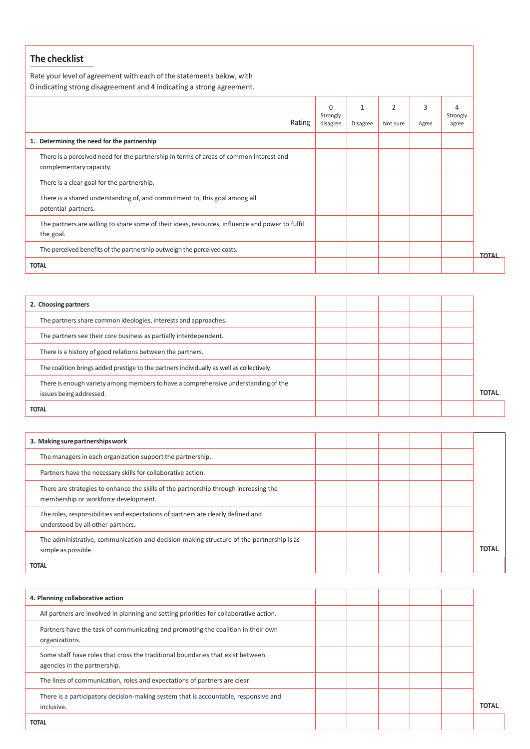## **The checklist**

Rate your level of agreement with each of the statements below, with 0 indicating strong disagreement and 4 indicating a strong agreement.

| U indicating strong disagreement and 4 multating a strong agreement.                                              |                                  |               |                            |            |                        |              |
|-------------------------------------------------------------------------------------------------------------------|----------------------------------|---------------|----------------------------|------------|------------------------|--------------|
| Rating                                                                                                            | $\Omega$<br>Strongly<br>disagree | 1<br>Disagree | $\overline{2}$<br>Not sure | 3<br>Agree | 4<br>Strongly<br>agree |              |
| 1. Determining the need for the partnership                                                                       |                                  |               |                            |            |                        |              |
| There is a perceived need for the partnership in terms of areas of common interest and<br>complementary capacity. |                                  |               |                            |            |                        |              |
| There is a clear goal for the partnership.                                                                        |                                  |               |                            |            |                        |              |
| There is a shared understanding of, and commitment to, this goal among all<br>potential partners.                 |                                  |               |                            |            |                        |              |
| The partners are willing to share some of their ideas, resources, influence and power to fulfil<br>the goal.      |                                  |               |                            |            |                        |              |
| The perceived benefits of the partnership outweigh the perceived costs.                                           |                                  |               |                            |            |                        | <b>TOTAL</b> |
| <b>TOTAL</b>                                                                                                      |                                  |               |                            |            |                        |              |

| 2. Choosing partners                                                                                          |  |  |              |
|---------------------------------------------------------------------------------------------------------------|--|--|--------------|
| The partners share common ideologies, interests and approaches.                                               |  |  |              |
| The partners see their core business as partially interdependent.                                             |  |  |              |
| There is a history of good relations between the partners.                                                    |  |  |              |
| The coalition brings added prestige to the partners individually as well as collectively.                     |  |  |              |
| There is enough variety among members to have a comprehensive understanding of the<br>issues being addressed. |  |  | <b>TOTAL</b> |
| <b>TOTAL</b>                                                                                                  |  |  |              |

| 3. Making sure partnerships work                                                                                             |  |  |              |
|------------------------------------------------------------------------------------------------------------------------------|--|--|--------------|
| The managers in each organization support the partnership.                                                                   |  |  |              |
| Partners have the necessary skills for collaborative action.                                                                 |  |  |              |
| There are strategies to enhance the skills of the partnership through increasing the<br>membership or workforce development. |  |  |              |
| The roles, responsibilities and expectations of partners are clearly defined and<br>understood by all other partners.        |  |  |              |
| The administrative, communication and decision-making structure of the partnership is as<br>simple as possible.              |  |  | <b>TOTAL</b> |
| <b>TOTAL</b>                                                                                                                 |  |  |              |

| 4. Planning collaborative action                                                                               |  |  |              |
|----------------------------------------------------------------------------------------------------------------|--|--|--------------|
| All partners are involved in planning and setting priorities for collaborative action.                         |  |  |              |
| Partners have the task of communicating and promoting the coalition in their own<br>organizations.             |  |  |              |
| Some staff have roles that cross the traditional boundaries that exist between<br>agencies in the partnership. |  |  |              |
| The lines of communication, roles and expectations of partners are clear.                                      |  |  |              |
| There is a participatory decision-making system that is accountable, responsive and<br>inclusive.              |  |  | <b>TOTAL</b> |
| <b>TOTAL</b>                                                                                                   |  |  |              |